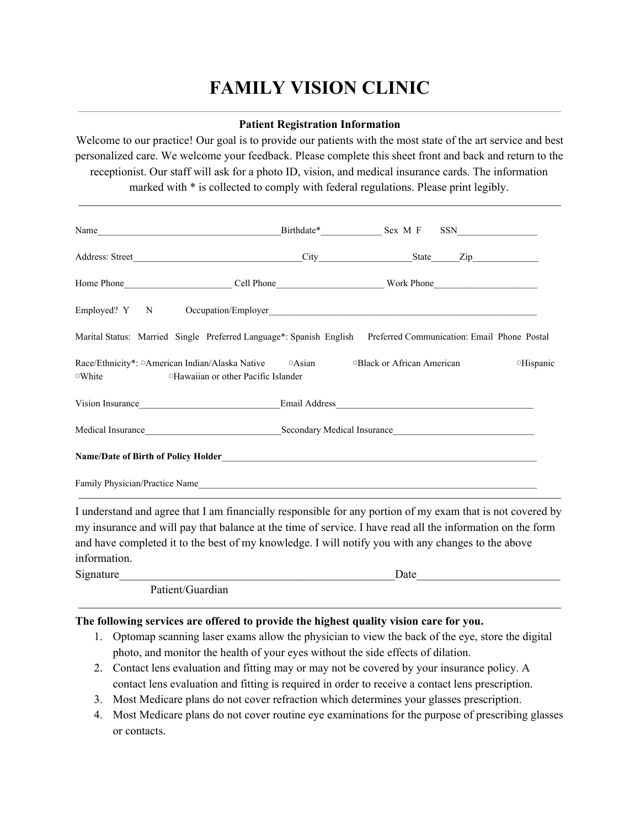## **FAMILY VISION CLINIC**

## **Patient Registration Information**

Welcome to our practice! Our goal is to provide our patients with the most state of the art service and best personalized care. We welcome your feedback. Please complete this sheet front and back and return to the receptionist. Our staff will ask for a photo ID, vision, and medical insurance cards. The information marked with \* is collected to comply with federal regulations. Please print legibly.

| Marital Status: Married Single Preferred Language*: Spanish English Preferred Communication: Email Phone Postal                                                   |  |                 |
|-------------------------------------------------------------------------------------------------------------------------------------------------------------------|--|-----------------|
| Race/Ethnicity*: ¤American Indian/Alaska Native <b>Assume Assume Assume Assume Political American</b><br>$\circ$ White $\circ$ Hawaiian or other Pacific Islander |  | <b>Hispanic</b> |
| Vision Insurance <b>Example 2018</b> Email Address <b>Email Address Email Address Email Address</b>                                                               |  |                 |
|                                                                                                                                                                   |  |                 |
|                                                                                                                                                                   |  |                 |
|                                                                                                                                                                   |  |                 |

I understand and agree that I am financially responsible for any portion of my exam that is not covered by my insurance and will pay that balance at the time of service. I have read all the information on the form and have completed it to the best of my knowledge. I will notify you with any changes to the above information.

| Signature |                  | date |  |
|-----------|------------------|------|--|
|           | Patient/Guardian |      |  |

## **The following services are offered to provide the highest quality vision care for you.**

- 1. Optomap scanning laser exams allow the physician to view the back of the eye, store the digital photo, and monitor the health of your eyes without the side effects of dilation.
- 2. Contact lens evaluation and fitting may or may not be covered by your insurance policy. A contact lens evaluation and fitting is required in order to receive a contact lens prescription.
- 3. Most Medicare plans do not cover refraction which determines your glasses prescription.
- 4. Most Medicare plans do not cover routine eye examinations for the purpose of prescribing glasses or contacts.